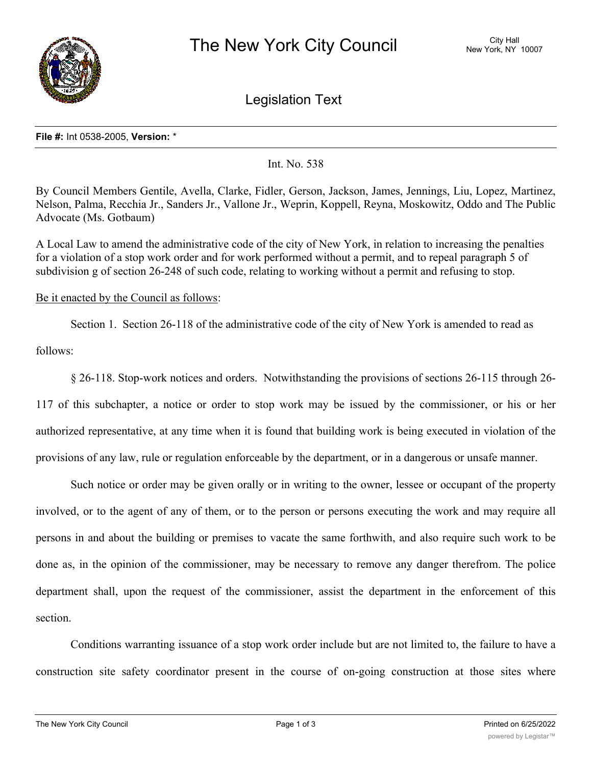

Legislation Text

## **File #:** Int 0538-2005, **Version:** \*

Int. No. 538

By Council Members Gentile, Avella, Clarke, Fidler, Gerson, Jackson, James, Jennings, Liu, Lopez, Martinez, Nelson, Palma, Recchia Jr., Sanders Jr., Vallone Jr., Weprin, Koppell, Reyna, Moskowitz, Oddo and The Public Advocate (Ms. Gotbaum)

A Local Law to amend the administrative code of the city of New York, in relation to increasing the penalties for a violation of a stop work order and for work performed without a permit, and to repeal paragraph 5 of subdivision g of section 26-248 of such code, relating to working without a permit and refusing to stop.

Be it enacted by the Council as follows:

Section 1. Section 26-118 of the administrative code of the city of New York is amended to read as

follows:

§ 26-118. Stop-work notices and orders. Notwithstanding the provisions of sections 26-115 through 26- 117 of this subchapter, a notice or order to stop work may be issued by the commissioner, or his or her authorized representative, at any time when it is found that building work is being executed in violation of the provisions of any law, rule or regulation enforceable by the department, or in a dangerous or unsafe manner.

Such notice or order may be given orally or in writing to the owner, lessee or occupant of the property involved, or to the agent of any of them, or to the person or persons executing the work and may require all persons in and about the building or premises to vacate the same forthwith, and also require such work to be done as, in the opinion of the commissioner, may be necessary to remove any danger therefrom. The police department shall, upon the request of the commissioner, assist the department in the enforcement of this section.

Conditions warranting issuance of a stop work order include but are not limited to, the failure to have a construction site safety coordinator present in the course of on-going construction at those sites where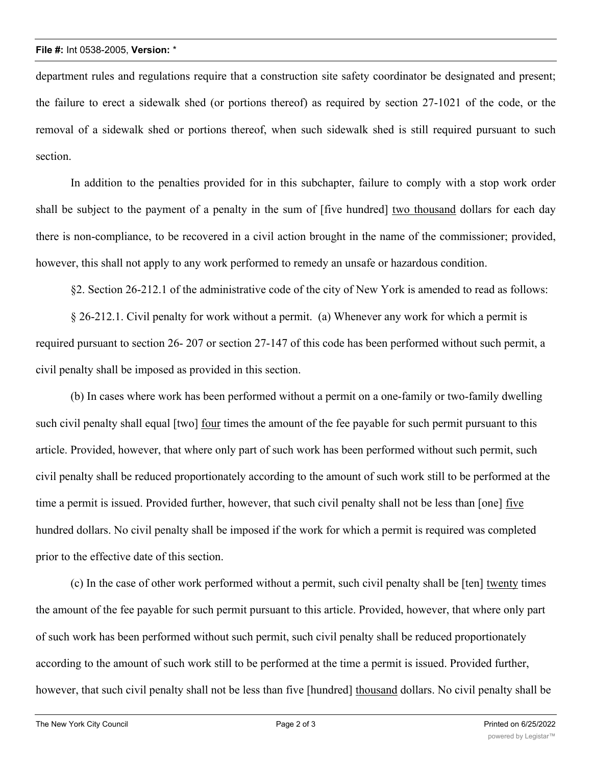department rules and regulations require that a construction site safety coordinator be designated and present; the failure to erect a sidewalk shed (or portions thereof) as required by section 27-1021 of the code, or the removal of a sidewalk shed or portions thereof, when such sidewalk shed is still required pursuant to such section.

In addition to the penalties provided for in this subchapter, failure to comply with a stop work order shall be subject to the payment of a penalty in the sum of [five hundred] two thousand dollars for each day there is non-compliance, to be recovered in a civil action brought in the name of the commissioner; provided, however, this shall not apply to any work performed to remedy an unsafe or hazardous condition.

§2. Section 26-212.1 of the administrative code of the city of New York is amended to read as follows:

§ 26-212.1. Civil penalty for work without a permit. (a) Whenever any work for which a permit is required pursuant to section 26- 207 or section 27-147 of this code has been performed without such permit, a civil penalty shall be imposed as provided in this section.

(b) In cases where work has been performed without a permit on a one-family or two-family dwelling such civil penalty shall equal [two] four times the amount of the fee payable for such permit pursuant to this article. Provided, however, that where only part of such work has been performed without such permit, such civil penalty shall be reduced proportionately according to the amount of such work still to be performed at the time a permit is issued. Provided further, however, that such civil penalty shall not be less than [one] five hundred dollars. No civil penalty shall be imposed if the work for which a permit is required was completed prior to the effective date of this section.

(c) In the case of other work performed without a permit, such civil penalty shall be [ten] twenty times the amount of the fee payable for such permit pursuant to this article. Provided, however, that where only part of such work has been performed without such permit, such civil penalty shall be reduced proportionately according to the amount of such work still to be performed at the time a permit is issued. Provided further, however, that such civil penalty shall not be less than five [hundred] thousand dollars. No civil penalty shall be